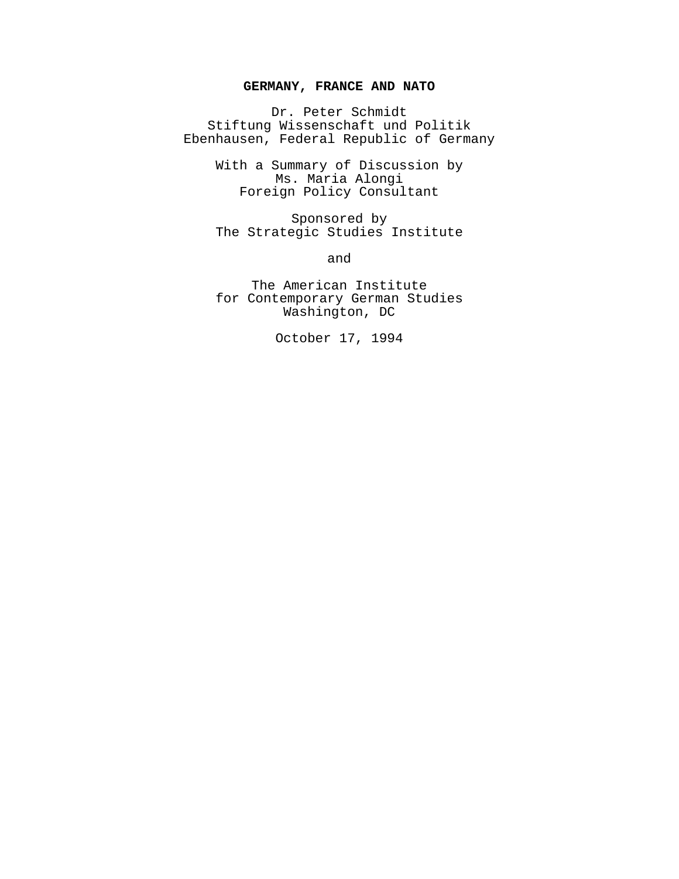# **GERMANY, FRANCE AND NATO**

Dr. Peter Schmidt Stiftung Wissenschaft und Politik Ebenhausen, Federal Republic of Germany

> With a Summary of Discussion by Ms. Maria Alongi Foreign Policy Consultant

> Sponsored by The Strategic Studies Institute

> > and

The American Institute for Contemporary German Studies Washington, DC

October 17, 1994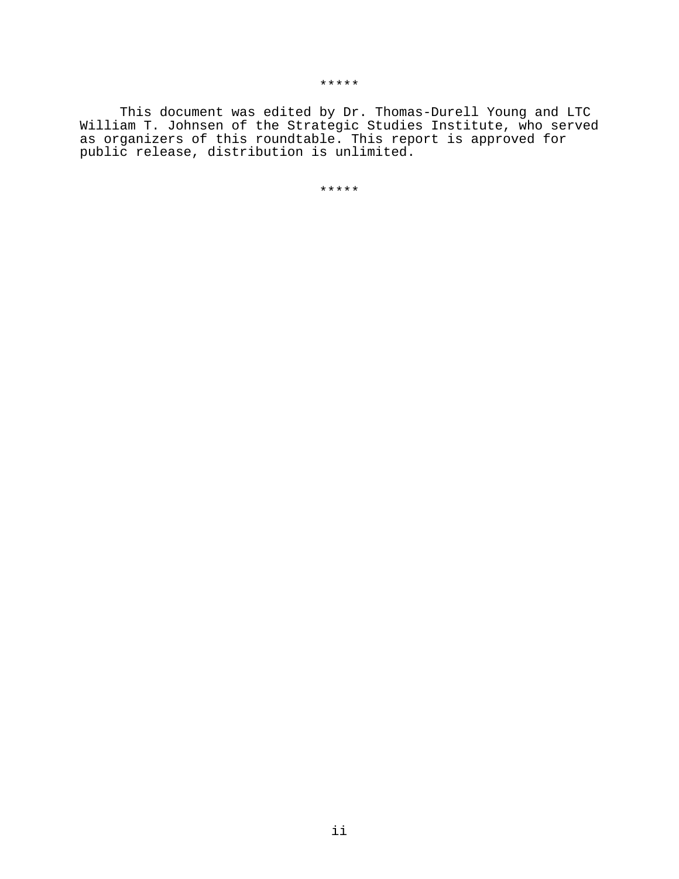\*\*\*\*\*

This document was edited by Dr. Thomas-Durell Young and LTC William T. Johnsen of the Strategic Studies Institute, who served as organizers of this roundtable. This report is approved for public release, distribution is unlimited.

\*\*\*\*\*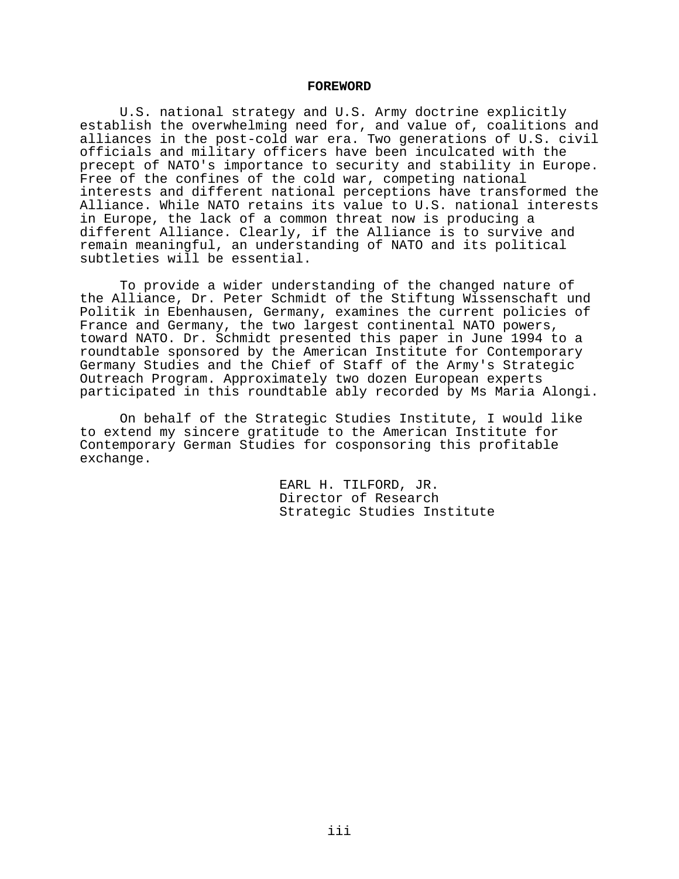### **FOREWORD**

U.S. national strategy and U.S. Army doctrine explicitly establish the overwhelming need for, and value of, coalitions and alliances in the post-cold war era. Two generations of U.S. civil officials and military officers have been inculcated with the precept of NATO's importance to security and stability in Europe. Free of the confines of the cold war, competing national interests and different national perceptions have transformed the Alliance. While NATO retains its value to U.S. national interests in Europe, the lack of a common threat now is producing a different Alliance. Clearly, if the Alliance is to survive and remain meaningful, an understanding of NATO and its political subtleties will be essential.

To provide a wider understanding of the changed nature of the Alliance, Dr. Peter Schmidt of the Stiftung Wissenschaft und Politik in Ebenhausen, Germany, examines the current policies of France and Germany, the two largest continental NATO powers, toward NATO. Dr. Schmidt presented this paper in June 1994 to a roundtable sponsored by the American Institute for Contemporary Germany Studies and the Chief of Staff of the Army's Strategic Outreach Program. Approximately two dozen European experts participated in this roundtable ably recorded by Ms Maria Alongi.

On behalf of the Strategic Studies Institute, I would like to extend my sincere gratitude to the American Institute for Contemporary German Studies for cosponsoring this profitable exchange.

> EARL H. TILFORD, JR. Director of Research Strategic Studies Institute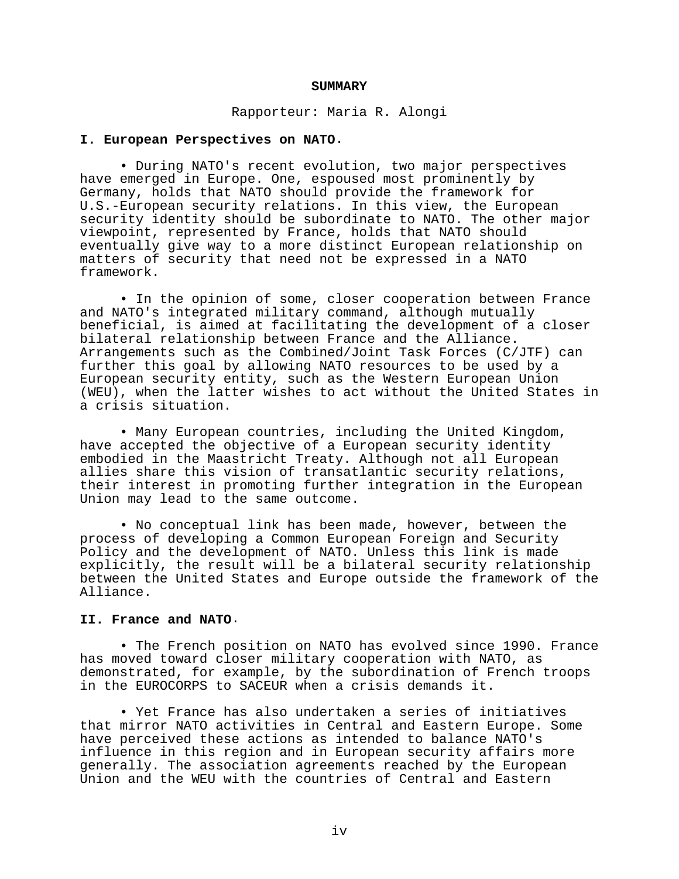### **SUMMARY**

Rapporteur: Maria R. Alongi

### **I. European Perspectives on NATO**.

• During NATO's recent evolution, two major perspectives have emerged in Europe. One, espoused most prominently by Germany, holds that NATO should provide the framework for U.S.-European security relations. In this view, the European security identity should be subordinate to NATO. The other major viewpoint, represented by France, holds that NATO should eventually give way to a more distinct European relationship on matters of security that need not be expressed in a NATO framework.

• In the opinion of some, closer cooperation between France and NATO's integrated military command, although mutually beneficial, is aimed at facilitating the development of a closer bilateral relationship between France and the Alliance. Arrangements such as the Combined/Joint Task Forces (C/JTF) can further this goal by allowing NATO resources to be used by a European security entity, such as the Western European Union (WEU), when the latter wishes to act without the United States in a crisis situation.

• Many European countries, including the United Kingdom, have accepted the objective of a European security identity embodied in the Maastricht Treaty. Although not all European allies share this vision of transatlantic security relations, their interest in promoting further integration in the European Union may lead to the same outcome.

• No conceptual link has been made, however, between the process of developing a Common European Foreign and Security Policy and the development of NATO. Unless this link is made explicitly, the result will be a bilateral security relationship between the United States and Europe outside the framework of the Alliance.

### **II. France and NATO**.

• The French position on NATO has evolved since 1990. France has moved toward closer military cooperation with NATO, as demonstrated, for example, by the subordination of French troops in the EUROCORPS to SACEUR when a crisis demands it.

• Yet France has also undertaken a series of initiatives that mirror NATO activities in Central and Eastern Europe. Some have perceived these actions as intended to balance NATO's influence in this region and in European security affairs more generally. The association agreements reached by the European Union and the WEU with the countries of Central and Eastern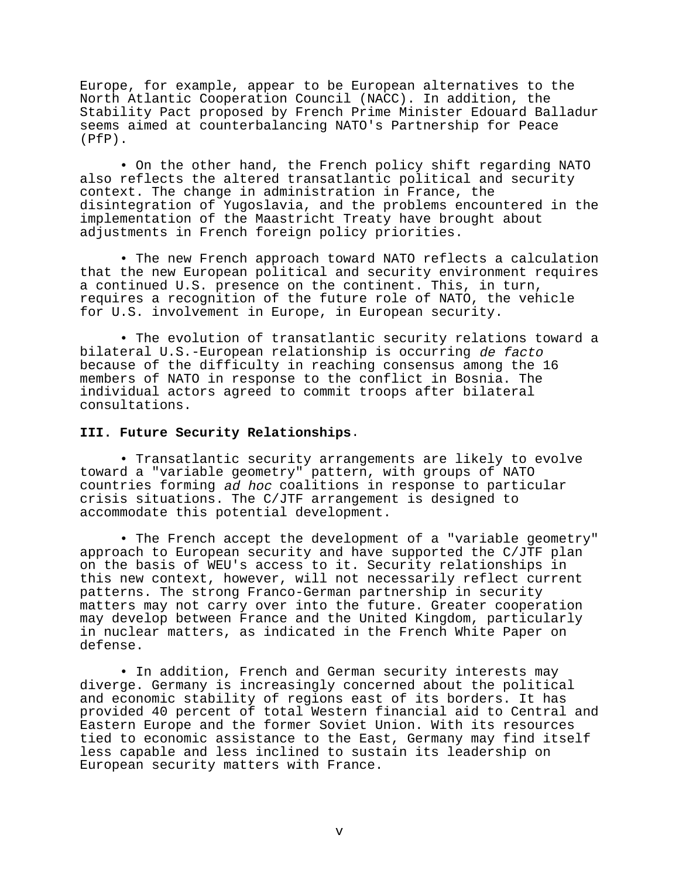Europe, for example, appear to be European alternatives to the North Atlantic Cooperation Council (NACC). In addition, the Stability Pact proposed by French Prime Minister Edouard Balladur seems aimed at counterbalancing NATO's Partnership for Peace (PfP).

• On the other hand, the French policy shift regarding NATO also reflects the altered transatlantic political and security context. The change in administration in France, the disintegration of Yugoslavia, and the problems encountered in the implementation of the Maastricht Treaty have brought about adjustments in French foreign policy priorities.

• The new French approach toward NATO reflects a calculation that the new European political and security environment requires a continued U.S. presence on the continent. This, in turn, requires a recognition of the future role of NATO, the vehicle for U.S. involvement in Europe, in European security.

• The evolution of transatlantic security relations toward a bilateral U.S.-European relationship is occurring de facto because of the difficulty in reaching consensus among the 16 members of NATO in response to the conflict in Bosnia. The individual actors agreed to commit troops after bilateral consultations.

# **III. Future Security Relationships**.

• Transatlantic security arrangements are likely to evolve toward a "variable geometry" pattern, with groups of NATO countries forming ad hoc coalitions in response to particular crisis situations. The C/JTF arrangement is designed to accommodate this potential development.

• The French accept the development of a "variable geometry" approach to European security and have supported the C/JTF plan on the basis of WEU's access to it. Security relationships in this new context, however, will not necessarily reflect current patterns. The strong Franco-German partnership in security matters may not carry over into the future. Greater cooperation may develop between France and the United Kingdom, particularly in nuclear matters, as indicated in the French White Paper on defense.

• In addition, French and German security interests may diverge. Germany is increasingly concerned about the political and economic stability of regions east of its borders. It has provided 40 percent of total Western financial aid to Central and Eastern Europe and the former Soviet Union. With its resources tied to economic assistance to the East, Germany may find itself less capable and less inclined to sustain its leadership on European security matters with France.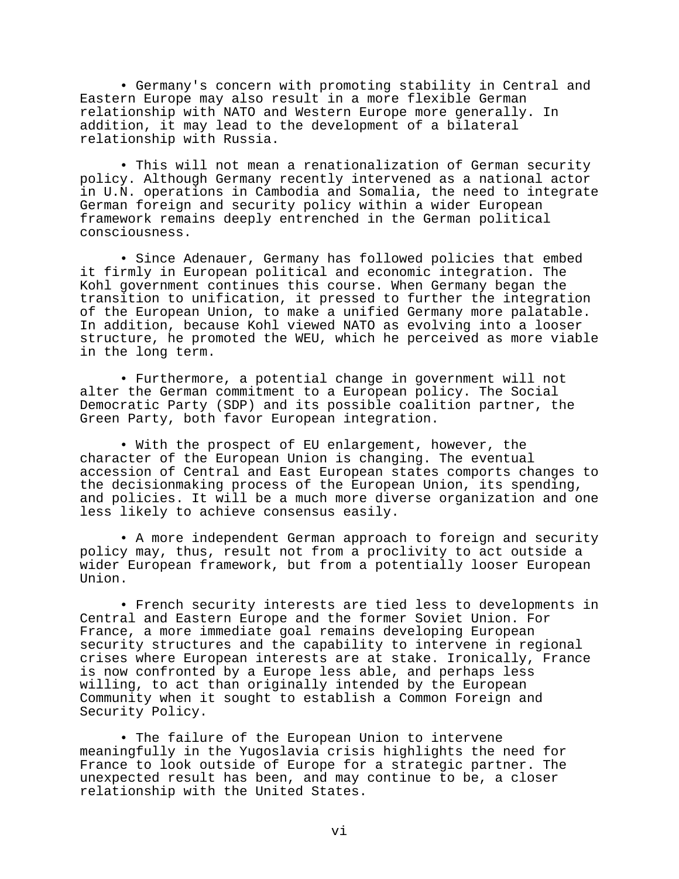• Germany's concern with promoting stability in Central and Eastern Europe may also result in a more flexible German relationship with NATO and Western Europe more generally. In addition, it may lead to the development of a bilateral relationship with Russia.

• This will not mean a renationalization of German security policy. Although Germany recently intervened as a national actor in U.N. operations in Cambodia and Somalia, the need to integrate German foreign and security policy within a wider European framework remains deeply entrenched in the German political consciousness.

• Since Adenauer, Germany has followed policies that embed it firmly in European political and economic integration. The Kohl government continues this course. When Germany began the transition to unification, it pressed to further the integration of the European Union, to make a unified Germany more palatable. In addition, because Kohl viewed NATO as evolving into a looser structure, he promoted the WEU, which he perceived as more viable in the long term.

• Furthermore, a potential change in government will not alter the German commitment to a European policy. The Social Democratic Party (SDP) and its possible coalition partner, the Green Party, both favor European integration.

• With the prospect of EU enlargement, however, the character of the European Union is changing. The eventual accession of Central and East European states comports changes to the decisionmaking process of the European Union, its spending, and policies. It will be a much more diverse organization and one less likely to achieve consensus easily.

• A more independent German approach to foreign and security policy may, thus, result not from a proclivity to act outside a wider European framework, but from a potentially looser European Union.

• French security interests are tied less to developments in Central and Eastern Europe and the former Soviet Union. For France, a more immediate goal remains developing European security structures and the capability to intervene in regional crises where European interests are at stake. Ironically, France is now confronted by a Europe less able, and perhaps less willing, to act than originally intended by the European Community when it sought to establish a Common Foreign and Security Policy.

• The failure of the European Union to intervene meaningfully in the Yugoslavia crisis highlights the need for France to look outside of Europe for a strategic partner. The unexpected result has been, and may continue to be, a closer relationship with the United States.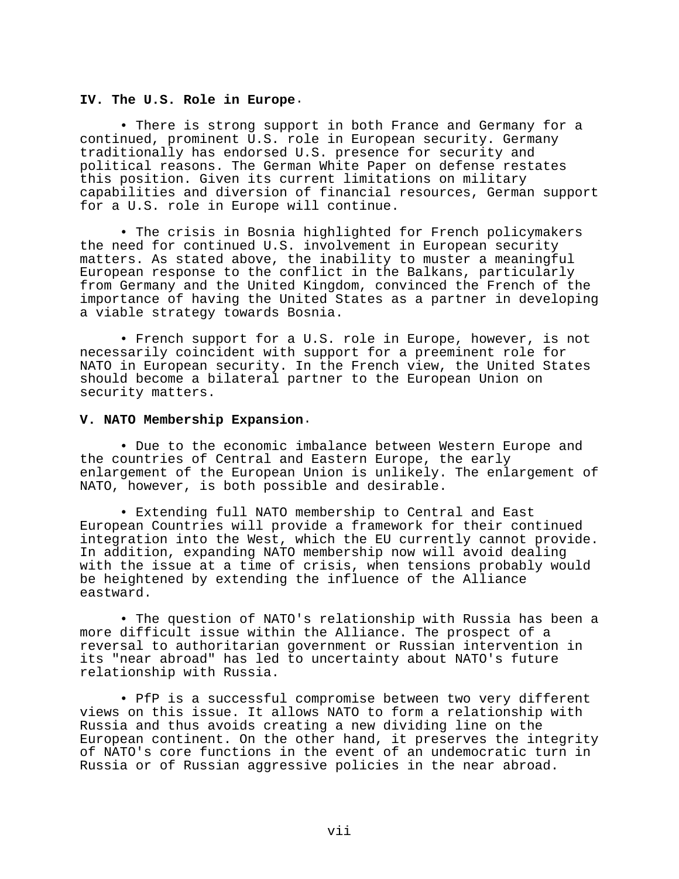## **IV. The U.S. Role in Europe**.

• There is strong support in both France and Germany for a continued, prominent U.S. role in European security. Germany traditionally has endorsed U.S. presence for security and political reasons. The German White Paper on defense restates this position. Given its current limitations on military capabilities and diversion of financial resources, German support for a U.S. role in Europe will continue.

• The crisis in Bosnia highlighted for French policymakers the need for continued U.S. involvement in European security matters. As stated above, the inability to muster a meaningful European response to the conflict in the Balkans, particularly from Germany and the United Kingdom, convinced the French of the importance of having the United States as a partner in developing a viable strategy towards Bosnia.

• French support for a U.S. role in Europe, however, is not necessarily coincident with support for a preeminent role for NATO in European security. In the French view, the United States should become a bilateral partner to the European Union on security matters.

# **V. NATO Membership Expansion**.

• Due to the economic imbalance between Western Europe and the countries of Central and Eastern Europe, the early enlargement of the European Union is unlikely. The enlargement of NATO, however, is both possible and desirable.

• Extending full NATO membership to Central and East European Countries will provide a framework for their continued integration into the West, which the EU currently cannot provide. In addition, expanding NATO membership now will avoid dealing with the issue at a time of crisis, when tensions probably would be heightened by extending the influence of the Alliance eastward.

• The question of NATO's relationship with Russia has been a more difficult issue within the Alliance. The prospect of a reversal to authoritarian government or Russian intervention in its "near abroad" has led to uncertainty about NATO's future relationship with Russia.

• PfP is a successful compromise between two very different views on this issue. It allows NATO to form a relationship with Russia and thus avoids creating a new dividing line on the European continent. On the other hand, it preserves the integrity of NATO's core functions in the event of an undemocratic turn in Russia or of Russian aggressive policies in the near abroad.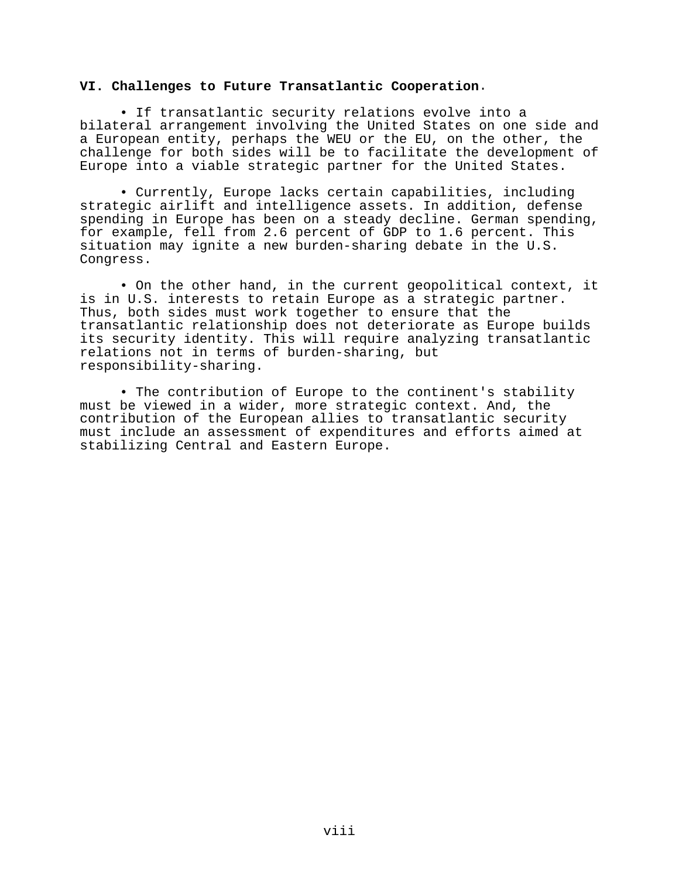# **VI. Challenges to Future Transatlantic Cooperation**.

• If transatlantic security relations evolve into a bilateral arrangement involving the United States on one side and a European entity, perhaps the WEU or the EU, on the other, the challenge for both sides will be to facilitate the development of Europe into a viable strategic partner for the United States.

• Currently, Europe lacks certain capabilities, including strategic airlift and intelligence assets. In addition, defense spending in Europe has been on a steady decline. German spending, for example, fell from 2.6 percent of GDP to 1.6 percent. This situation may ignite a new burden-sharing debate in the U.S. Congress.

• On the other hand, in the current geopolitical context, it is in U.S. interests to retain Europe as a strategic partner. Thus, both sides must work together to ensure that the transatlantic relationship does not deteriorate as Europe builds its security identity. This will require analyzing transatlantic relations not in terms of burden-sharing, but responsibility-sharing.

• The contribution of Europe to the continent's stability must be viewed in a wider, more strategic context. And, the contribution of the European allies to transatlantic security must include an assessment of expenditures and efforts aimed at stabilizing Central and Eastern Europe.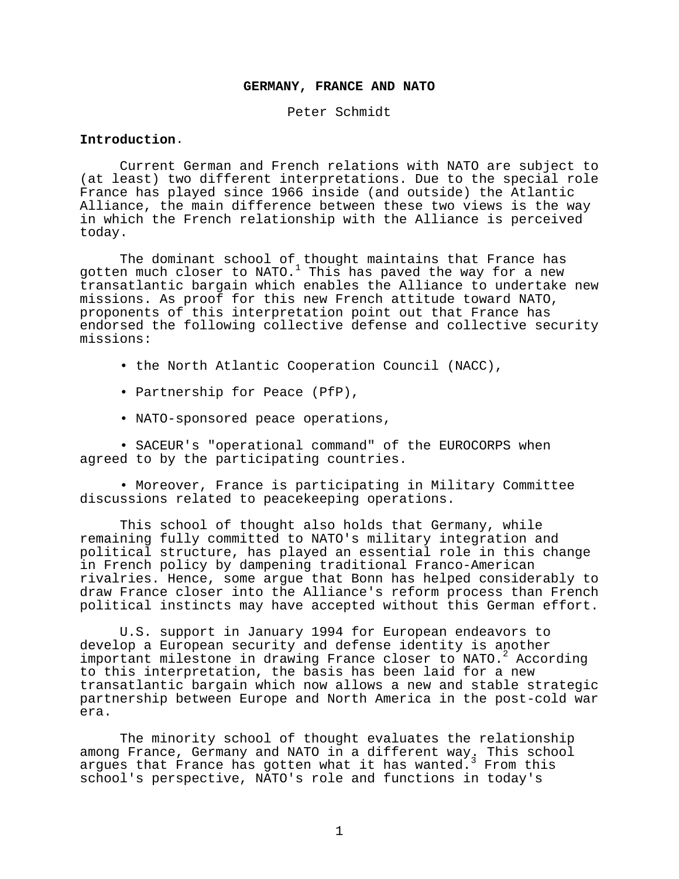### **GERMANY, FRANCE AND NATO**

Peter Schmidt

# **Introduction**.

Current German and French relations with NATO are subject to (at least) two different interpretations. Due to the special role France has played since 1966 inside (and outside) the Atlantic Alliance, the main difference between these two views is the way in which the French relationship with the Alliance is perceived today.

The dominant school of thought maintains that France has gotten much closer to NATO. $^1$  This has paved the way for a new transatlantic bargain which enables the Alliance to undertake new missions. As proof for this new French attitude toward NATO, proponents of this interpretation point out that France has endorsed the following collective defense and collective security missions:

- the North Atlantic Cooperation Council (NACC),
- Partnership for Peace (PfP),
- NATO-sponsored peace operations,

• SACEUR's "operational command" of the EUROCORPS when agreed to by the participating countries.

• Moreover, France is participating in Military Committee discussions related to peacekeeping operations.

This school of thought also holds that Germany, while remaining fully committed to NATO's military integration and political structure, has played an essential role in this change in French policy by dampening traditional Franco-American rivalries. Hence, some argue that Bonn has helped considerably to draw France closer into the Alliance's reform process than French political instincts may have accepted without this German effort.

U.S. support in January 1994 for European endeavors to develop a European security and defense identity is another important milestone in drawing France closer to NATO.<sup>2</sup> According to this interpretation, the basis has been laid for a new transatlantic bargain which now allows a new and stable strategic partnership between Europe and North America in the post-cold war era.

The minority school of thought evaluates the relationship among France, Germany and NATO in a different way. This school argues that France has gotten what it has wanted. From this school's perspective, NATO's role and functions in today's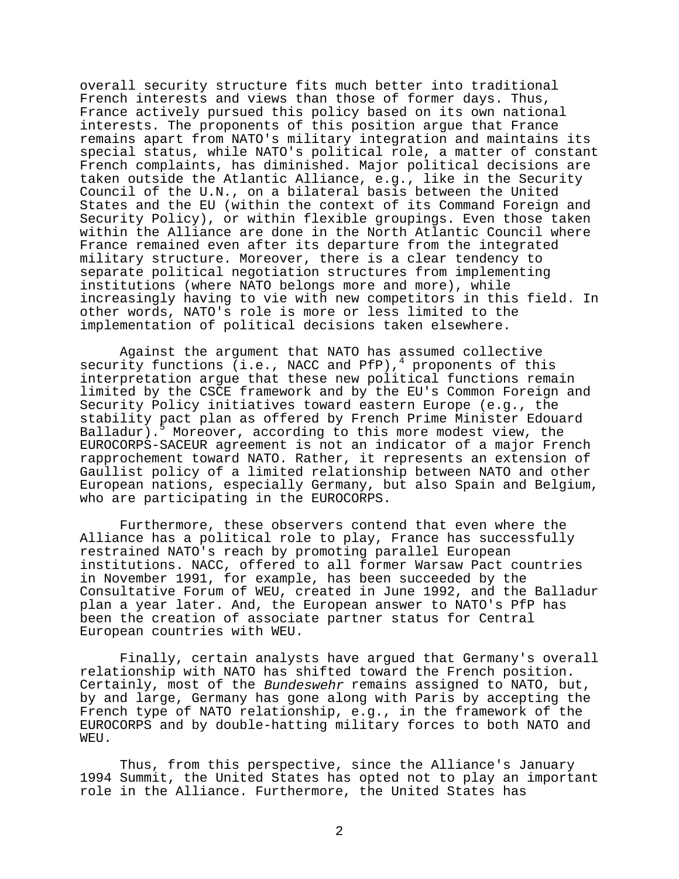overall security structure fits much better into traditional French interests and views than those of former days. Thus, France actively pursued this policy based on its own national interests. The proponents of this position argue that France remains apart from NATO's military integration and maintains its special status, while NATO's political role, a matter of constant French complaints, has diminished. Major political decisions are taken outside the Atlantic Alliance, e.g., like in the Security Council of the U.N., on a bilateral basis between the United States and the EU (within the context of its Command Foreign and Security Policy), or within flexible groupings. Even those taken within the Alliance are done in the North Atlantic Council where France remained even after its departure from the integrated military structure. Moreover, there is a clear tendency to separate political negotiation structures from implementing institutions (where NATO belongs more and more), while increasingly having to vie with new competitors in this field. In other words, NATO's role is more or less limited to the implementation of political decisions taken elsewhere.

Against the argument that NATO has assumed collective security functions (i.e., NACC and PfP),<sup>4</sup> proponents of this interpretation argue that these new political functions remain limited by the CSCE framework and by the EU's Common Foreign and Security Policy initiatives toward eastern Europe (e.g., the stability pact plan as offered by French Prime Minister Edouard Balladur).<sup>5</sup> Moreover, according to this more modest view, the EUROCORPS-SACEUR agreement is not an indicator of a major French rapprochement toward NATO. Rather, it represents an extension of Gaullist policy of a limited relationship between NATO and other European nations, especially Germany, but also Spain and Belgium, who are participating in the EUROCORPS.

Furthermore, these observers contend that even where the Alliance has a political role to play, France has successfully restrained NATO's reach by promoting parallel European institutions. NACC, offered to all former Warsaw Pact countries in November 1991, for example, has been succeeded by the Consultative Forum of WEU, created in June 1992, and the Balladur plan a year later. And, the European answer to NATO's PfP has been the creation of associate partner status for Central European countries with WEU.

Finally, certain analysts have argued that Germany's overall relationship with NATO has shifted toward the French position. Certainly, most of the Bundeswehr remains assigned to NATO, but, by and large, Germany has gone along with Paris by accepting the French type of NATO relationship, e.g., in the framework of the EUROCORPS and by double-hatting military forces to both NATO and WEU.

Thus, from this perspective, since the Alliance's January 1994 Summit, the United States has opted not to play an important role in the Alliance. Furthermore, the United States has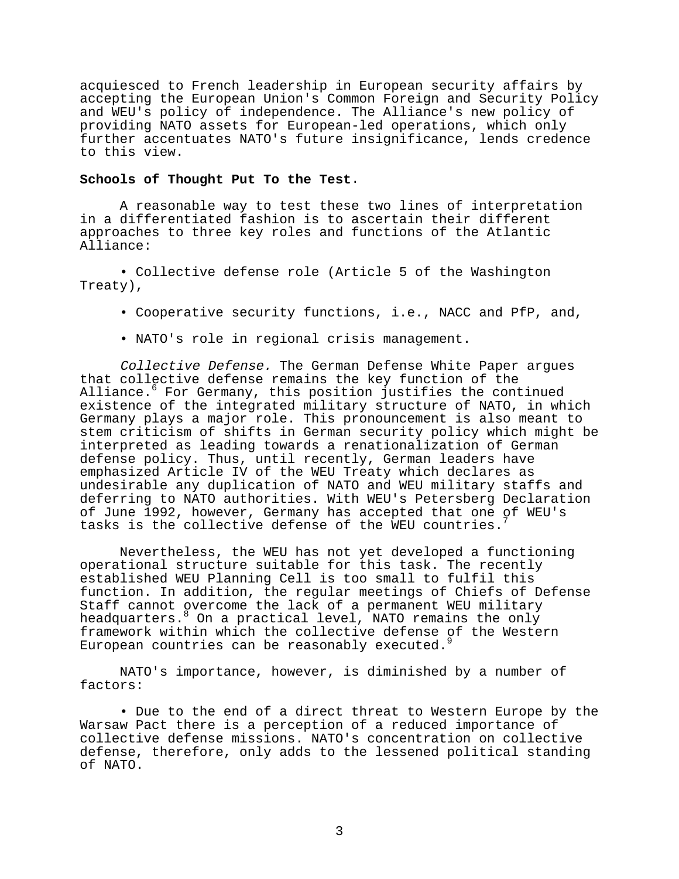acquiesced to French leadership in European security affairs by accepting the European Union's Common Foreign and Security Policy and WEU's policy of independence. The Alliance's new policy of providing NATO assets for European-led operations, which only further accentuates NATO's future insignificance, lends credence to this view.

### **Schools of Thought Put To the Test**.

A reasonable way to test these two lines of interpretation in a differentiated fashion is to ascertain their different approaches to three key roles and functions of the Atlantic Alliance:

• Collective defense role (Article 5 of the Washington Treaty),

- Cooperative security functions, i.e., NACC and PfP, and,
- NATO's role in regional crisis management.

Collective Defense. The German Defense White Paper argues that collective defense remains the key function of the Alliance.<sup>6</sup> For Germany, this position justifies the continued existence of the integrated military structure of NATO, in which Germany plays a major role. This pronouncement is also meant to stem criticism of shifts in German security policy which might be interpreted as leading towards a renationalization of German defense policy. Thus, until recently, German leaders have emphasized Article IV of the WEU Treaty which declares as undesirable any duplication of NATO and WEU military staffs and deferring to NATO authorities. With WEU's Petersberg Declaration of June 1992, however, Germany has accepted that one of WEU's tasks is the collective defense of the WEU countries.

Nevertheless, the WEU has not yet developed a functioning operational structure suitable for this task. The recently established WEU Planning Cell is too small to fulfil this function. In addition, the regular meetings of Chiefs of Defense Staff cannot overcome the lack of a permanent WEU military headquarters. <sup>8</sup> On a practical level, NATO remains the only framework within which the collective defense of the Western European countries can be reasonably executed.

NATO's importance, however, is diminished by a number of factors:

• Due to the end of a direct threat to Western Europe by the Warsaw Pact there is a perception of a reduced importance of collective defense missions. NATO's concentration on collective defense, therefore, only adds to the lessened political standing of NATO.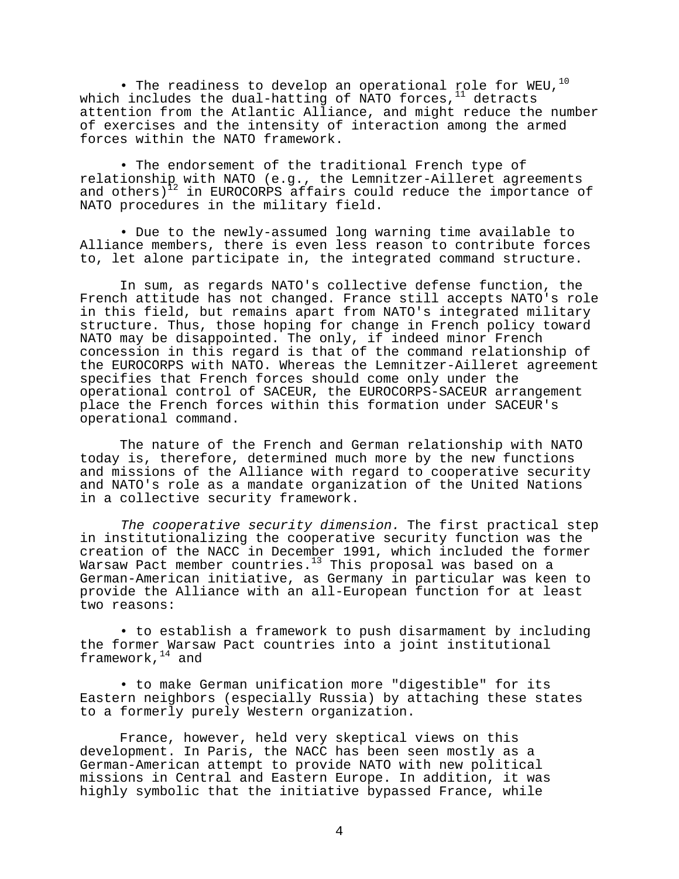• The readiness to develop an operational role for WEU, $^{10}$ which includes the dual-hatting of NATO forces, $^{11}$  detracts attention from the Atlantic Alliance, and might reduce the number of exercises and the intensity of interaction among the armed forces within the NATO framework.

• The endorsement of the traditional French type of relationship with NATO (e.g., the Lemnitzer-Ailleret agreements and others) $12$  in EUROCORPS affairs could reduce the importance of NATO procedures in the military field.

• Due to the newly-assumed long warning time available to Alliance members, there is even less reason to contribute forces to, let alone participate in, the integrated command structure.

In sum, as regards NATO's collective defense function, the French attitude has not changed. France still accepts NATO's role in this field, but remains apart from NATO's integrated military structure. Thus, those hoping for change in French policy toward NATO may be disappointed. The only, if indeed minor French concession in this regard is that of the command relationship of the EUROCORPS with NATO. Whereas the Lemnitzer-Ailleret agreement specifies that French forces should come only under the operational control of SACEUR, the EUROCORPS-SACEUR arrangement place the French forces within this formation under SACEUR's operational command.

The nature of the French and German relationship with NATO today is, therefore, determined much more by the new functions and missions of the Alliance with regard to cooperative security and NATO's role as a mandate organization of the United Nations in a collective security framework.

The cooperative security dimension. The first practical step in institutionalizing the cooperative security function was the creation of the NACC in December 1991, which included the former Warsaw Pact member countries.<sup>13</sup> This proposal was based on a German-American initiative, as Germany in particular was keen to provide the Alliance with an all-European function for at least two reasons:

• to establish a framework to push disarmament by including the former Warsaw Pact countries into a joint institutional framework,  $14$  and

• to make German unification more "digestible" for its Eastern neighbors (especially Russia) by attaching these states to a formerly purely Western organization.

France, however, held very skeptical views on this development. In Paris, the NACC has been seen mostly as a German-American attempt to provide NATO with new political missions in Central and Eastern Europe. In addition, it was highly symbolic that the initiative bypassed France, while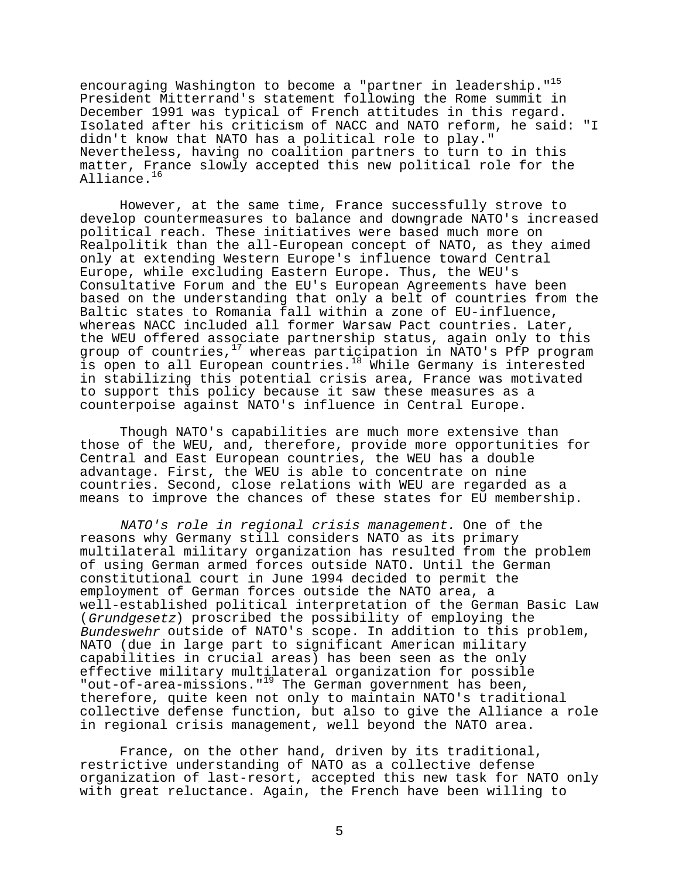encouraging Washington to become a "partner in leadership."<sup>15</sup> President Mitterrand's statement following the Rome summit in December 1991 was typical of French attitudes in this regard. Isolated after his criticism of NACC and NATO reform, he said: "I didn't know that NATO has a political role to play." Nevertheless, having no coalition partners to turn to in this matter, France slowly accepted this new political role for the Alliance.<sup>16</sup>

However, at the same time, France successfully strove to develop countermeasures to balance and downgrade NATO's increased political reach. These initiatives were based much more on Realpolitik than the all-European concept of NATO, as they aimed only at extending Western Europe's influence toward Central Europe, while excluding Eastern Europe. Thus, the WEU's Consultative Forum and the EU's European Agreements have been based on the understanding that only a belt of countries from the Baltic states to Romania fall within a zone of EU-influence, whereas NACC included all former Warsaw Pact countries. Later, the WEU offered associate partnership status, again only to this group of countries,<sup>17</sup> whereas participation in NATO's PfP program is open to all European countries.<sup>18</sup> While Germany is interested in stabilizing this potential crisis area, France was motivated to support this policy because it saw these measures as a counterpoise against NATO's influence in Central Europe.

Though NATO's capabilities are much more extensive than those of the WEU, and, therefore, provide more opportunities for Central and East European countries, the WEU has a double advantage. First, the WEU is able to concentrate on nine countries. Second, close relations with WEU are regarded as a means to improve the chances of these states for EU membership.

NATO's role in regional crisis management. One of the reasons why Germany still considers NATO as its primary multilateral military organization has resulted from the problem of using German armed forces outside NATO. Until the German constitutional court in June 1994 decided to permit the employment of German forces outside the NATO area, a well-established political interpretation of the German Basic Law (Grundgesetz) proscribed the possibility of employing the Bundeswehr outside of NATO's scope. In addition to this problem, NATO (due in large part to significant American military capabilities in crucial areas) has been seen as the only effective military multilateral organization for possible "out-of-area-missions."19 The German government has been, therefore, quite keen not only to maintain NATO's traditional collective defense function, but also to give the Alliance a role in regional crisis management, well beyond the NATO area.

France, on the other hand, driven by its traditional, restrictive understanding of NATO as a collective defense organization of last-resort, accepted this new task for NATO only with great reluctance. Again, the French have been willing to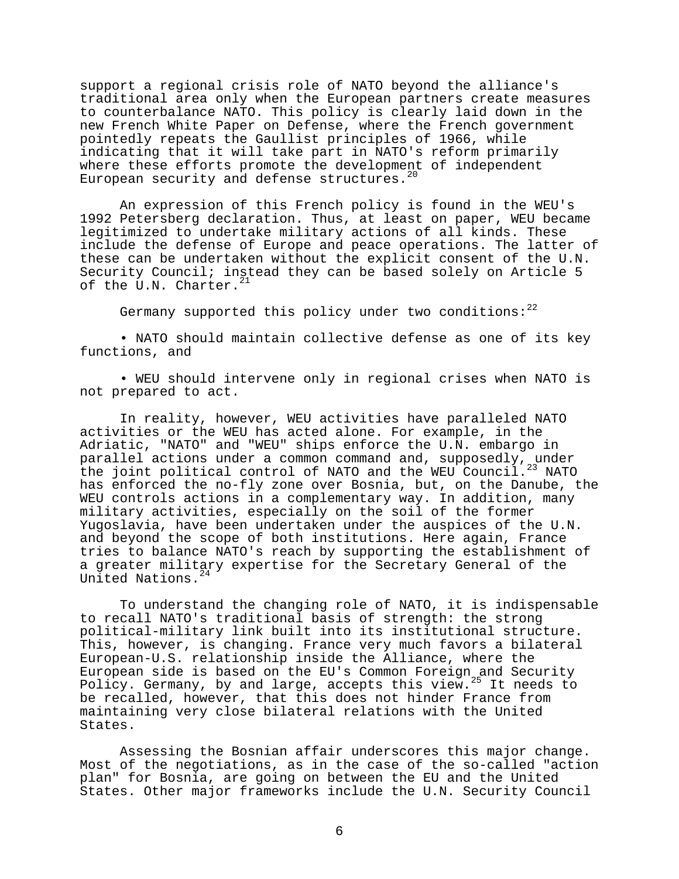support a regional crisis role of NATO beyond the alliance's traditional area only when the European partners create measures to counterbalance NATO. This policy is clearly laid down in the new French White Paper on Defense, where the French government pointedly repeats the Gaullist principles of 1966, while indicating that it will take part in NATO's reform primarily where these efforts promote the development of independent European security and defense structures.<sup>20</sup>

An expression of this French policy is found in the WEU's 1992 Petersberg declaration. Thus, at least on paper, WEU became legitimized to undertake military actions of all kinds. These include the defense of Europe and peace operations. The latter of these can be undertaken without the explicit consent of the U.N. Security Council; instead they can be based solely on Article 5 of the U.N. Charter. $^{21}$ 

Germany supported this policy under two conditions: $^{22}$ 

• NATO should maintain collective defense as one of its key functions, and

• WEU should intervene only in regional crises when NATO is not prepared to act.

In reality, however, WEU activities have paralleled NATO activities or the WEU has acted alone. For example, in the Adriatic, "NATO" and "WEU" ships enforce the U.N. embargo in parallel actions under a common command and, supposedly, under the joint political control of NATO and the WEU Council.<sup>23</sup> NATO has enforced the no-fly zone over Bosnia, but, on the Danube, the WEU controls actions in a complementary way. In addition, many military activities, especially on the soil of the former Yugoslavia, have been undertaken under the auspices of the U.N. and beyond the scope of both institutions. Here again, France tries to balance NATO's reach by supporting the establishment of a greater military expertise for the Secretary General of the United Nations.<sup>24</sup>

To understand the changing role of NATO, it is indispensable to recall NATO's traditional basis of strength: the strong political-military link built into its institutional structure. This, however, is changing. France very much favors a bilateral European-U.S. relationship inside the Alliance, where the European side is based on the EU's Common Foreign and Security Policy. Germany, by and large, accepts this view.<sup>25</sup> It needs to be recalled, however, that this does not hinder France from maintaining very close bilateral relations with the United States.

Assessing the Bosnian affair underscores this major change. Most of the negotiations, as in the case of the so-called "action plan" for Bosnia, are going on between the EU and the United States. Other major frameworks include the U.N. Security Council

6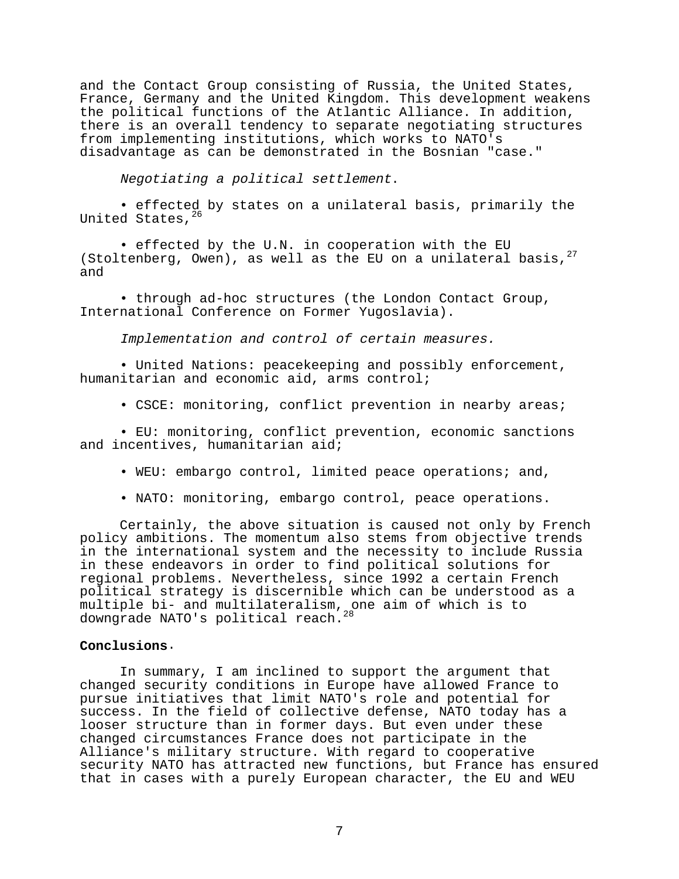and the Contact Group consisting of Russia, the United States, France, Germany and the United Kingdom. This development weakens the political functions of the Atlantic Alliance. In addition, there is an overall tendency to separate negotiating structures from implementing institutions, which works to NATO's disadvantage as can be demonstrated in the Bosnian "case."

Negotiating a political settlement.

• effected by states on a unilateral basis, primarily the United States, 26

• effected by the U.N. in cooperation with the EU (Stoltenberg, Owen), as well as the EU on a unilateral basis,  $27$ and

• through ad-hoc structures (the London Contact Group, International Conference on Former Yugoslavia).

Implementation and control of certain measures.

• United Nations: peacekeeping and possibly enforcement, humanitarian and economic aid, arms control;

• CSCE: monitoring, conflict prevention in nearby areas;

• EU: monitoring, conflict prevention, economic sanctions and incentives, humanitarian aid;

• WEU: embargo control, limited peace operations; and,

• NATO: monitoring, embargo control, peace operations.

Certainly, the above situation is caused not only by French policy ambitions. The momentum also stems from objective trends in the international system and the necessity to include Russia in these endeavors in order to find political solutions for regional problems. Nevertheless, since 1992 a certain French political strategy is discernible which can be understood as a multiple bi- and multilateralism, one aim of which is to downgrade NATO's political reach.

### **Conclusions**.

In summary, I am inclined to support the argument that changed security conditions in Europe have allowed France to pursue initiatives that limit NATO's role and potential for success. In the field of collective defense, NATO today has a looser structure than in former days. But even under these changed circumstances France does not participate in the Alliance's military structure. With regard to cooperative security NATO has attracted new functions, but France has ensured that in cases with a purely European character, the EU and WEU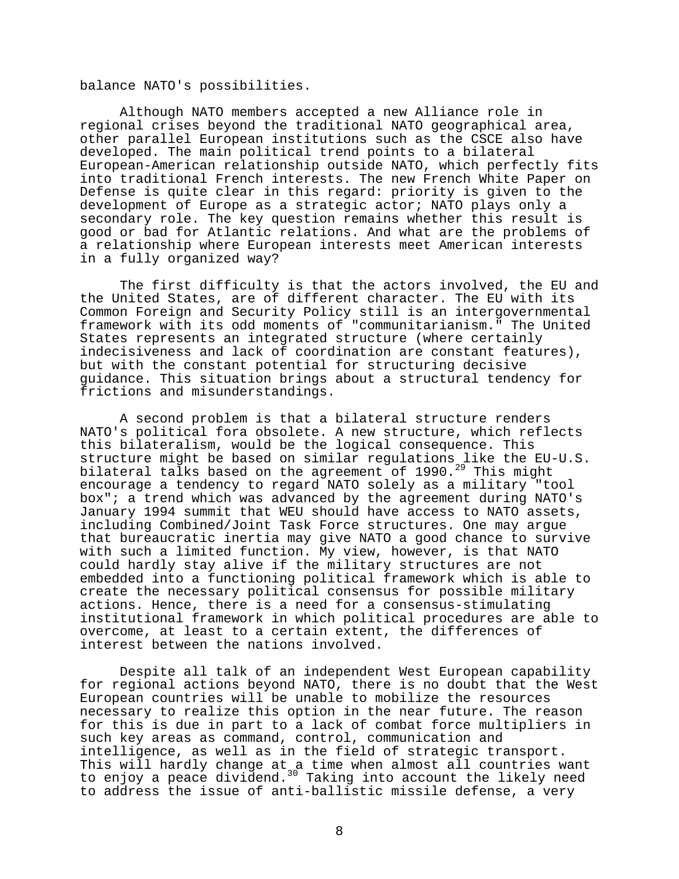balance NATO's possibilities.

Although NATO members accepted a new Alliance role in regional crises beyond the traditional NATO geographical area, other parallel European institutions such as the CSCE also have developed. The main political trend points to a bilateral European-American relationship outside NATO, which perfectly fits into traditional French interests. The new French White Paper on Defense is quite clear in this regard: priority is given to the development of Europe as a strategic actor; NATO plays only a secondary role. The key question remains whether this result is good or bad for Atlantic relations. And what are the problems of a relationship where European interests meet American interests in a fully organized way?

The first difficulty is that the actors involved, the EU and the United States, are of different character. The EU with its Common Foreign and Security Policy still is an intergovernmental framework with its odd moments of "communitarianism." The United States represents an integrated structure (where certainly indecisiveness and lack of coordination are constant features), but with the constant potential for structuring decisive guidance. This situation brings about a structural tendency for frictions and misunderstandings.

A second problem is that a bilateral structure renders NATO's political fora obsolete. A new structure, which reflects this bilateralism, would be the logical consequence. This structure might be based on similar regulations like the EU-U.S. bilateral talks based on the agreement of  $1990.^{29}$  This might encourage a tendency to regard NATO solely as a military "tool box"; a trend which was advanced by the agreement during NATO's January 1994 summit that WEU should have access to NATO assets, including Combined/Joint Task Force structures. One may argue that bureaucratic inertia may give NATO a good chance to survive with such a limited function. My view, however, is that NATO could hardly stay alive if the military structures are not embedded into a functioning political framework which is able to create the necessary political consensus for possible military actions. Hence, there is a need for a consensus-stimulating institutional framework in which political procedures are able to overcome, at least to a certain extent, the differences of interest between the nations involved.

Despite all talk of an independent West European capability for regional actions beyond NATO, there is no doubt that the West European countries will be unable to mobilize the resources necessary to realize this option in the near future. The reason for this is due in part to a lack of combat force multipliers in such key areas as command, control, communication and intelligence, as well as in the field of strategic transport. This will hardly change at a time when almost all countries want to enjoy a peace dividend.<sup>30</sup> Taking into account the likely need to address the issue of anti-ballistic missile defense, a very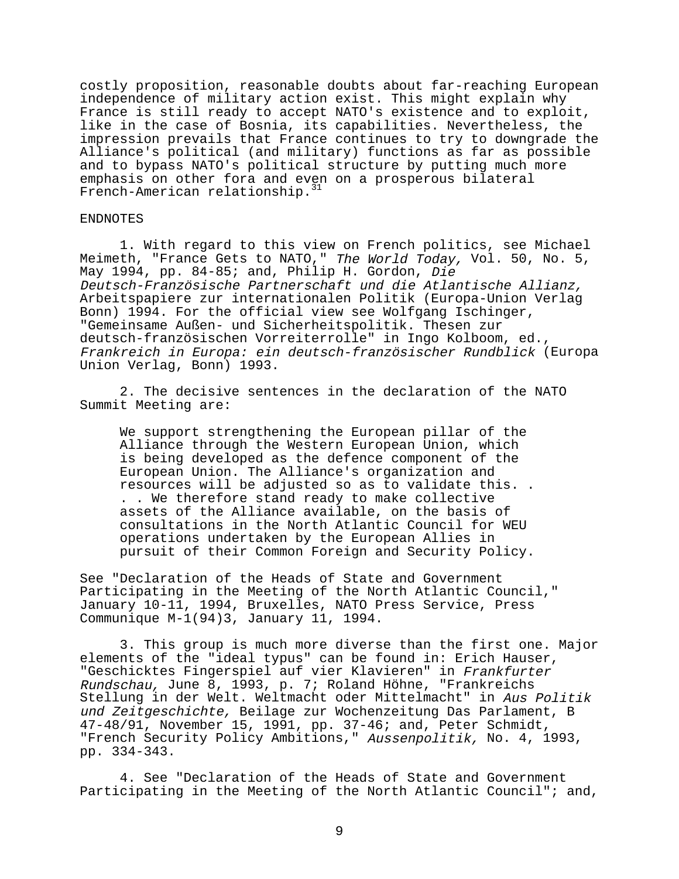costly proposition, reasonable doubts about far-reaching European independence of military action exist. This might explain why France is still ready to accept NATO's existence and to exploit, like in the case of Bosnia, its capabilities. Nevertheless, the impression prevails that France continues to try to downgrade the Alliance's political (and military) functions as far as possible and to bypass NATO's political structure by putting much more emphasis on other fora and even on a prosperous bilateral French-American relationship.<sup>31</sup>

### ENDNOTES

1. With regard to this view on French politics, see Michael Meimeth, "France Gets to NATO," The World Today, Vol. 50, No. 5, May 1994, pp. 84-85; and, Philip H. Gordon, Die Deutsch-Französische Partnerschaft und die Atlantische Allianz, Arbeitspapiere zur internationalen Politik (Europa-Union Verlag Bonn) 1994. For the official view see Wolfgang Ischinger, "Gemeinsame Außen- und Sicherheitspolitik. Thesen zur deutsch-französischen Vorreiterrolle" in Ingo Kolboom, ed., Frankreich in Europa: ein deutsch-französischer Rundblick (Europa Union Verlag, Bonn) 1993.

2. The decisive sentences in the declaration of the NATO Summit Meeting are:

We support strengthening the European pillar of the Alliance through the Western European Union, which is being developed as the defence component of the European Union. The Alliance's organization and resources will be adjusted so as to validate this. . . . We therefore stand ready to make collective assets of the Alliance available, on the basis of consultations in the North Atlantic Council for WEU operations undertaken by the European Allies in pursuit of their Common Foreign and Security Policy.

See "Declaration of the Heads of State and Government Participating in the Meeting of the North Atlantic Council," January 10-11, 1994, Bruxelles, NATO Press Service, Press Communique M-1(94)3, January 11, 1994.

3. This group is much more diverse than the first one. Major elements of the "ideal typus" can be found in: Erich Hauser, "Geschicktes Fingerspiel auf vier Klavieren" in Frankfurter Rundschau, June 8, 1993, p. 7; Roland Höhne, "Frankreichs Stellung in der Welt. Weltmacht oder Mittelmacht" in Aus Politik und Zeitgeschichte, Beilage zur Wochenzeitung Das Parlament, B 47-48/91, November 15, 1991, pp. 37-46; and, Peter Schmidt, "French Security Policy Ambitions," Aussenpolitik, No. 4, 1993, pp. 334-343.

4. See "Declaration of the Heads of State and Government Participating in the Meeting of the North Atlantic Council"; and,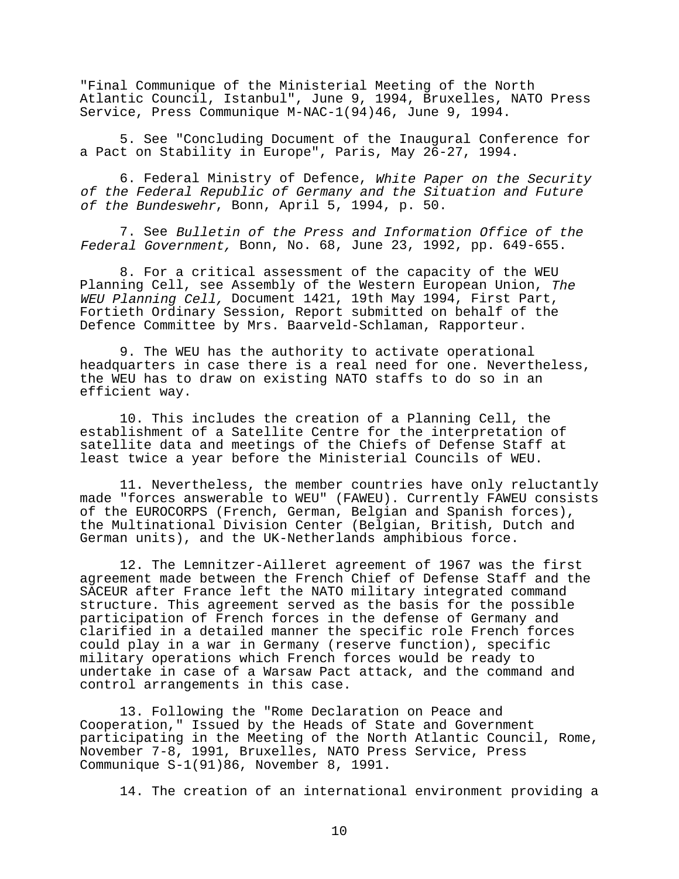"Final Communique of the Ministerial Meeting of the North Atlantic Council, Istanbul", June 9, 1994, Bruxelles, NATO Press Service, Press Communique M-NAC-1(94)46, June 9, 1994.

5. See "Concluding Document of the Inaugural Conference for a Pact on Stability in Europe", Paris, May 26-27, 1994.

6. Federal Ministry of Defence, White Paper on the Security of the Federal Republic of Germany and the Situation and Future of the Bundeswehr, Bonn, April 5, 1994, p. 50.

7. See Bulletin of the Press and Information Office of the Federal Government, Bonn, No. 68, June 23, 1992, pp. 649-655.

8. For a critical assessment of the capacity of the WEU Planning Cell, see Assembly of the Western European Union, The WEU Planning Cell, Document 1421, 19th May 1994, First Part, Fortieth Ordinary Session, Report submitted on behalf of the Defence Committee by Mrs. Baarveld-Schlaman, Rapporteur.

9. The WEU has the authority to activate operational headquarters in case there is a real need for one. Nevertheless, the WEU has to draw on existing NATO staffs to do so in an efficient way.

10. This includes the creation of a Planning Cell, the establishment of a Satellite Centre for the interpretation of satellite data and meetings of the Chiefs of Defense Staff at least twice a year before the Ministerial Councils of WEU.

11. Nevertheless, the member countries have only reluctantly made "forces answerable to WEU" (FAWEU). Currently FAWEU consists of the EUROCORPS (French, German, Belgian and Spanish forces), the Multinational Division Center (Belgian, British, Dutch and German units), and the UK-Netherlands amphibious force.

12. The Lemnitzer-Ailleret agreement of 1967 was the first agreement made between the French Chief of Defense Staff and the SACEUR after France left the NATO military integrated command structure. This agreement served as the basis for the possible participation of French forces in the defense of Germany and clarified in a detailed manner the specific role French forces could play in a war in Germany (reserve function), specific military operations which French forces would be ready to undertake in case of a Warsaw Pact attack, and the command and control arrangements in this case.

13. Following the "Rome Declaration on Peace and Cooperation," Issued by the Heads of State and Government participating in the Meeting of the North Atlantic Council, Rome, November 7-8, 1991, Bruxelles, NATO Press Service, Press Communique S-1(91)86, November 8, 1991.

14. The creation of an international environment providing a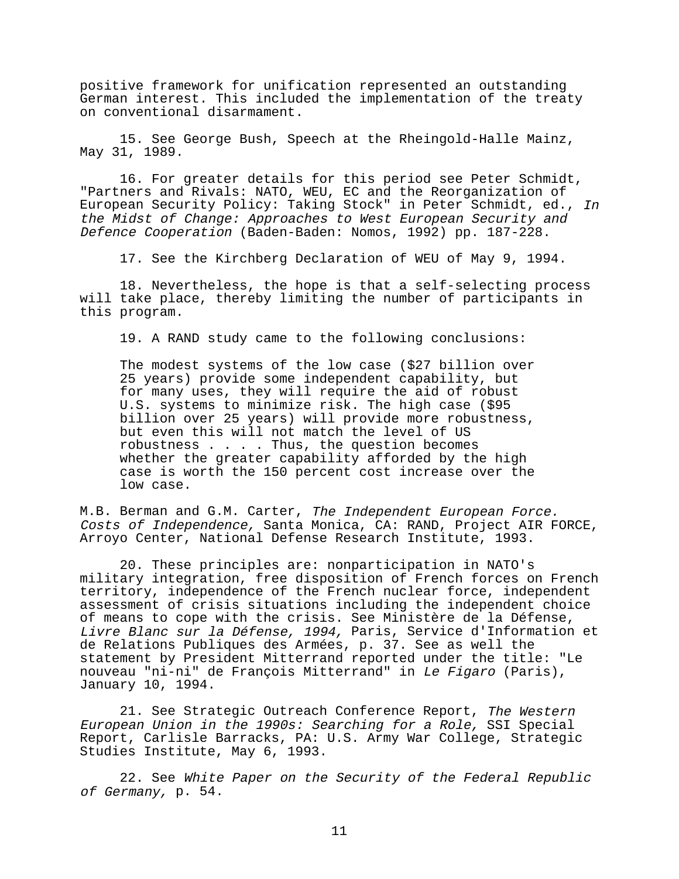positive framework for unification represented an outstanding German interest. This included the implementation of the treaty on conventional disarmament.

15. See George Bush, Speech at the Rheingold-Halle Mainz, May 31, 1989.

16. For greater details for this period see Peter Schmidt, "Partners and Rivals: NATO, WEU, EC and the Reorganization of European Security Policy: Taking Stock" in Peter Schmidt, ed., In the Midst of Change: Approaches to West European Security and Defence Cooperation (Baden-Baden: Nomos, 1992) pp. 187-228.

17. See the Kirchberg Declaration of WEU of May 9, 1994.

18. Nevertheless, the hope is that a self-selecting process will take place, thereby limiting the number of participants in this program.

19. A RAND study came to the following conclusions:

The modest systems of the low case (\$27 billion over 25 years) provide some independent capability, but for many uses, they will require the aid of robust U.S. systems to minimize risk. The high case (\$95 billion over 25 years) will provide more robustness, but even this will not match the level of US robustness . . . . Thus, the question becomes whether the greater capability afforded by the high case is worth the 150 percent cost increase over the low case.

M.B. Berman and G.M. Carter, The Independent European Force. Costs of Independence, Santa Monica, CA: RAND, Project AIR FORCE, Arroyo Center, National Defense Research Institute, 1993.

20. These principles are: nonparticipation in NATO's military integration, free disposition of French forces on French territory, independence of the French nuclear force, independent assessment of crisis situations including the independent choice of means to cope with the crisis. See Ministère de la Défense, Livre Blanc sur la Défense, 1994, Paris, Service d'Information et de Relations Publiques des Armées, p. 37. See as well the statement by President Mitterrand reported under the title: "Le nouveau "ni-ni" de François Mitterrand" in Le Figaro (Paris), January 10, 1994.

21. See Strategic Outreach Conference Report, The Western European Union in the 1990s: Searching for a Role, SSI Special Report, Carlisle Barracks, PA: U.S. Army War College, Strategic Studies Institute, May 6, 1993.

22. See White Paper on the Security of the Federal Republic of Germany, p. 54.